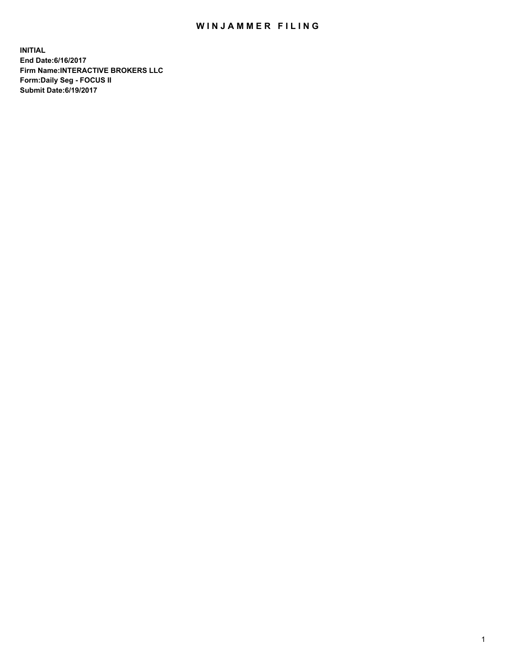## WIN JAMMER FILING

**INITIAL End Date:6/16/2017 Firm Name:INTERACTIVE BROKERS LLC Form:Daily Seg - FOCUS II Submit Date:6/19/2017**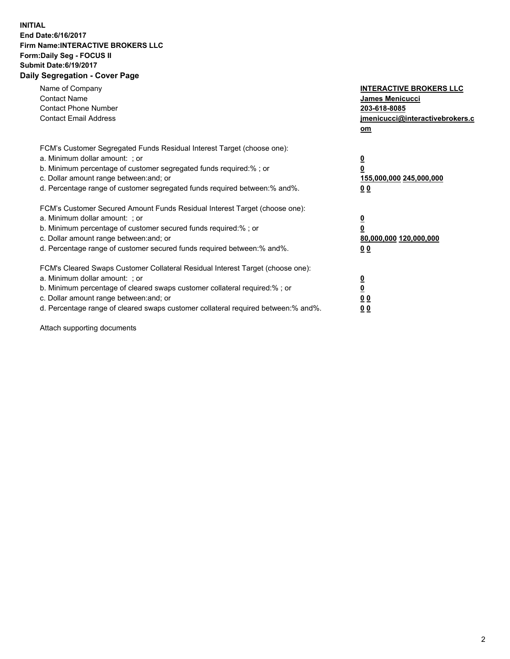## **INITIAL End Date:6/16/2017 Firm Name:INTERACTIVE BROKERS LLC Form:Daily Seg - FOCUS II Submit Date:6/19/2017 Daily Segregation - Cover Page**

| Name of Company<br><b>Contact Name</b><br><b>Contact Phone Number</b><br><b>Contact Email Address</b>                                                                                                                                                                                                                          | <b>INTERACTIVE BROKERS LLC</b><br><b>James Menicucci</b><br>203-618-8085<br>jmenicucci@interactivebrokers.c<br>om |
|--------------------------------------------------------------------------------------------------------------------------------------------------------------------------------------------------------------------------------------------------------------------------------------------------------------------------------|-------------------------------------------------------------------------------------------------------------------|
| FCM's Customer Segregated Funds Residual Interest Target (choose one):<br>a. Minimum dollar amount: ; or<br>b. Minimum percentage of customer segregated funds required:% ; or<br>c. Dollar amount range between: and; or<br>d. Percentage range of customer segregated funds required between: % and %.                       | $\overline{\mathbf{0}}$<br>0<br>155,000,000 245,000,000<br>00                                                     |
| FCM's Customer Secured Amount Funds Residual Interest Target (choose one):<br>a. Minimum dollar amount: ; or<br>b. Minimum percentage of customer secured funds required:%; or<br>c. Dollar amount range between: and; or<br>d. Percentage range of customer secured funds required between: % and %.                          | $\overline{\mathbf{0}}$<br>0<br>80,000,000 120,000,000<br>00                                                      |
| FCM's Cleared Swaps Customer Collateral Residual Interest Target (choose one):<br>a. Minimum dollar amount: ; or<br>b. Minimum percentage of cleared swaps customer collateral required:% ; or<br>c. Dollar amount range between: and; or<br>d. Percentage range of cleared swaps customer collateral required between:% and%. | $\overline{\mathbf{0}}$<br>$\overline{\mathbf{0}}$<br>00<br>0 <sub>0</sub>                                        |

Attach supporting documents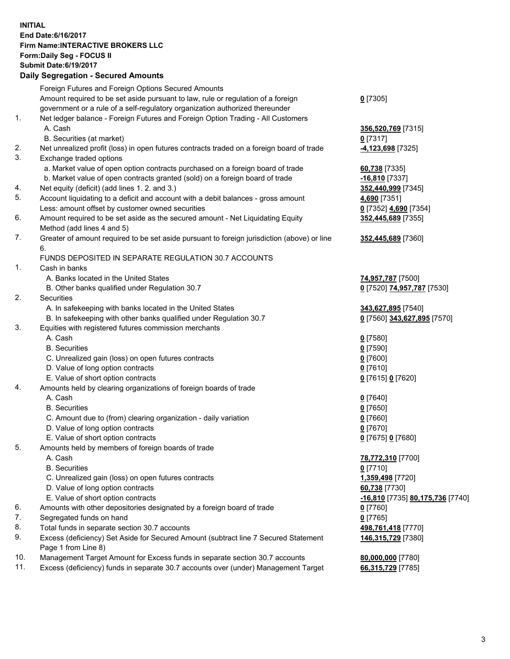## **INITIAL End Date:6/16/2017 Firm Name:INTERACTIVE BROKERS LLC Form:Daily Seg - FOCUS II Submit Date:6/19/2017 Daily Segregation - Secured Amounts**

|     | Pany Obgrogation Obbarba / 11110ani                                                         |                                  |
|-----|---------------------------------------------------------------------------------------------|----------------------------------|
|     | Foreign Futures and Foreign Options Secured Amounts                                         |                                  |
|     | Amount required to be set aside pursuant to law, rule or regulation of a foreign            | $0$ [7305]                       |
|     | government or a rule of a self-regulatory organization authorized thereunder                |                                  |
| 1.  | Net ledger balance - Foreign Futures and Foreign Option Trading - All Customers             |                                  |
|     | A. Cash                                                                                     | 356,520,769 [7315]               |
|     | B. Securities (at market)                                                                   | $0$ [7317]                       |
| 2.  | Net unrealized profit (loss) in open futures contracts traded on a foreign board of trade   | -4,123,698 [7325]                |
| 3.  | Exchange traded options                                                                     |                                  |
|     | a. Market value of open option contracts purchased on a foreign board of trade              | 60,738 [7335]                    |
|     | b. Market value of open contracts granted (sold) on a foreign board of trade                | $-16,810$ [7337]                 |
| 4.  | Net equity (deficit) (add lines 1.2. and 3.)                                                | 352,440,999 [7345]               |
| 5.  | Account liquidating to a deficit and account with a debit balances - gross amount           | 4,690 [7351]                     |
|     | Less: amount offset by customer owned securities                                            | 0 [7352] 4,690 [7354]            |
| 6.  | Amount required to be set aside as the secured amount - Net Liquidating Equity              | 352,445,689 [7355]               |
|     | Method (add lines 4 and 5)                                                                  |                                  |
| 7.  | Greater of amount required to be set aside pursuant to foreign jurisdiction (above) or line | 352,445,689 [7360]               |
|     | 6.                                                                                          |                                  |
|     | FUNDS DEPOSITED IN SEPARATE REGULATION 30.7 ACCOUNTS                                        |                                  |
| 1.  | Cash in banks                                                                               |                                  |
|     | A. Banks located in the United States                                                       | 74,957,787 [7500]                |
|     | B. Other banks qualified under Regulation 30.7                                              | 0 [7520] 74,957,787 [7530]       |
| 2.  | Securities                                                                                  |                                  |
|     | A. In safekeeping with banks located in the United States                                   | 343,627,895 [7540]               |
|     | B. In safekeeping with other banks qualified under Regulation 30.7                          | 0 [7560] 343,627,895 [7570]      |
| 3.  | Equities with registered futures commission merchants                                       |                                  |
|     | A. Cash                                                                                     | $0$ [7580]                       |
|     | <b>B.</b> Securities                                                                        | $0$ [7590]                       |
|     | C. Unrealized gain (loss) on open futures contracts                                         | $0$ [7600]                       |
|     | D. Value of long option contracts                                                           | $0$ [7610]                       |
|     | E. Value of short option contracts                                                          | 0 [7615] 0 [7620]                |
| 4.  | Amounts held by clearing organizations of foreign boards of trade                           |                                  |
|     | A. Cash                                                                                     | $0$ [7640]                       |
|     | <b>B.</b> Securities                                                                        | $0$ [7650]                       |
|     | C. Amount due to (from) clearing organization - daily variation                             | $0$ [7660]                       |
|     | D. Value of long option contracts                                                           | $0$ [7670]                       |
|     | E. Value of short option contracts                                                          | 0 [7675] 0 [7680]                |
| 5.  | Amounts held by members of foreign boards of trade                                          |                                  |
|     | A. Cash                                                                                     | 78,772,310 [7700]                |
|     | <b>B.</b> Securities                                                                        | $0$ [7710]                       |
|     | C. Unrealized gain (loss) on open futures contracts<br>D. Value of long option contracts    | 1,359,498 [7720]                 |
|     |                                                                                             | 60,738 [7730]                    |
| 6.  | E. Value of short option contracts                                                          | -16,810 [7735] 80,175,736 [7740] |
| 7.  | Amounts with other depositories designated by a foreign board of trade                      | 0 [7760]                         |
| 8.  | Segregated funds on hand<br>Total funds in separate section 30.7 accounts                   | $0$ [7765]                       |
| 9.  | Excess (deficiency) Set Aside for Secured Amount (subtract line 7 Secured Statement         | 498,761,418 [7770]               |
|     | Page 1 from Line 8)                                                                         | 146,315,729 [7380]               |
| 10. | Management Target Amount for Excess funds in separate section 30.7 accounts                 | 80,000,000 [7780]                |
| 11. | Excess (deficiency) funds in separate 30.7 accounts over (under) Management Target          | 66,315,729 [7785]                |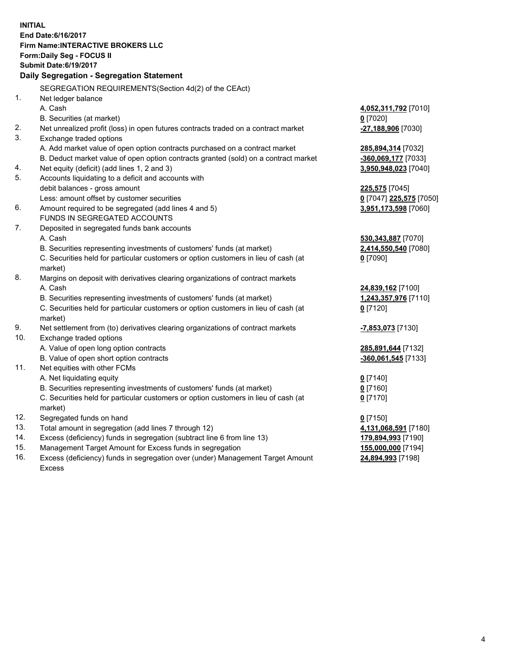**INITIAL End Date:6/16/2017 Firm Name:INTERACTIVE BROKERS LLC Form:Daily Seg - FOCUS II Submit Date:6/19/2017 Daily Segregation - Segregation Statement** SEGREGATION REQUIREMENTS(Section 4d(2) of the CEAct) 1. Net ledger balance A. Cash **4,052,311,792** [7010] B. Securities (at market) **0** [7020] 2. Net unrealized profit (loss) in open futures contracts traded on a contract market **-27,188,906** [7030] 3. Exchange traded options A. Add market value of open option contracts purchased on a contract market **285,894,314** [7032] B. Deduct market value of open option contracts granted (sold) on a contract market **-360,069,177** [7033] 4. Net equity (deficit) (add lines 1, 2 and 3) **3,950,948,023** [7040] 5. Accounts liquidating to a deficit and accounts with debit balances - gross amount **225,575** [7045] Less: amount offset by customer securities **0** [7047] **225,575** [7050] 6. Amount required to be segregated (add lines 4 and 5) **3,951,173,598** [7060] FUNDS IN SEGREGATED ACCOUNTS 7. Deposited in segregated funds bank accounts A. Cash **530,343,887** [7070] B. Securities representing investments of customers' funds (at market) **2,414,550,540** [7080] C. Securities held for particular customers or option customers in lieu of cash (at market) **0** [7090] 8. Margins on deposit with derivatives clearing organizations of contract markets A. Cash **24,839,162** [7100] B. Securities representing investments of customers' funds (at market) **1,243,357,976** [7110] C. Securities held for particular customers or option customers in lieu of cash (at market) **0** [7120] 9. Net settlement from (to) derivatives clearing organizations of contract markets **-7,853,073** [7130] 10. Exchange traded options A. Value of open long option contracts **285,891,644** [7132] B. Value of open short option contracts **-360,061,545** [7133] 11. Net equities with other FCMs A. Net liquidating equity **0** [7140] B. Securities representing investments of customers' funds (at market) **0** [7160] C. Securities held for particular customers or option customers in lieu of cash (at market) **0** [7170] 12. Segregated funds on hand **0** [7150] 13. Total amount in segregation (add lines 7 through 12) **4,131,068,591** [7180] 14. Excess (deficiency) funds in segregation (subtract line 6 from line 13) **179,894,993** [7190] 15. Management Target Amount for Excess funds in segregation **155,000,000** [7194]

16. Excess (deficiency) funds in segregation over (under) Management Target Amount Excess

**24,894,993** [7198]